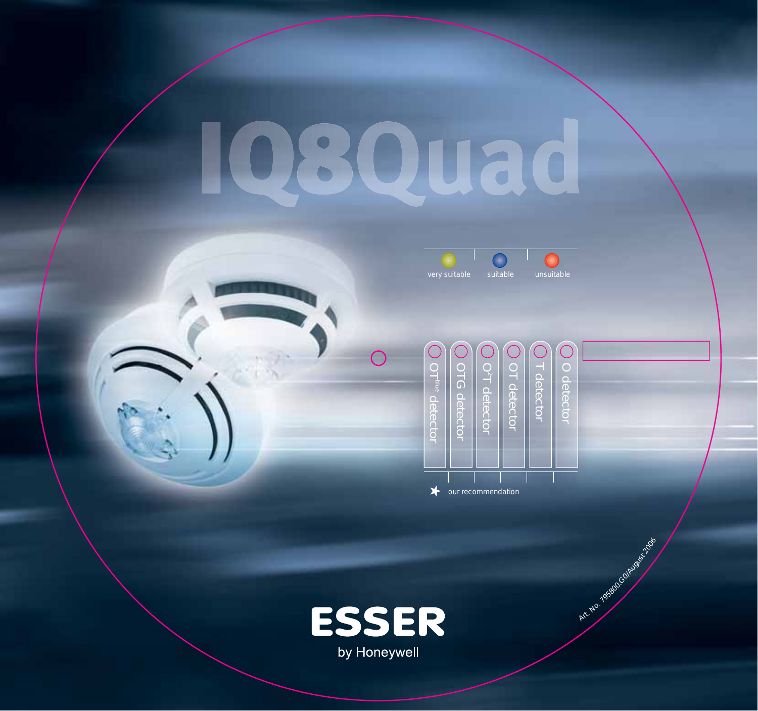## 080 8 C





Art No. 1958 COLORED AND NO

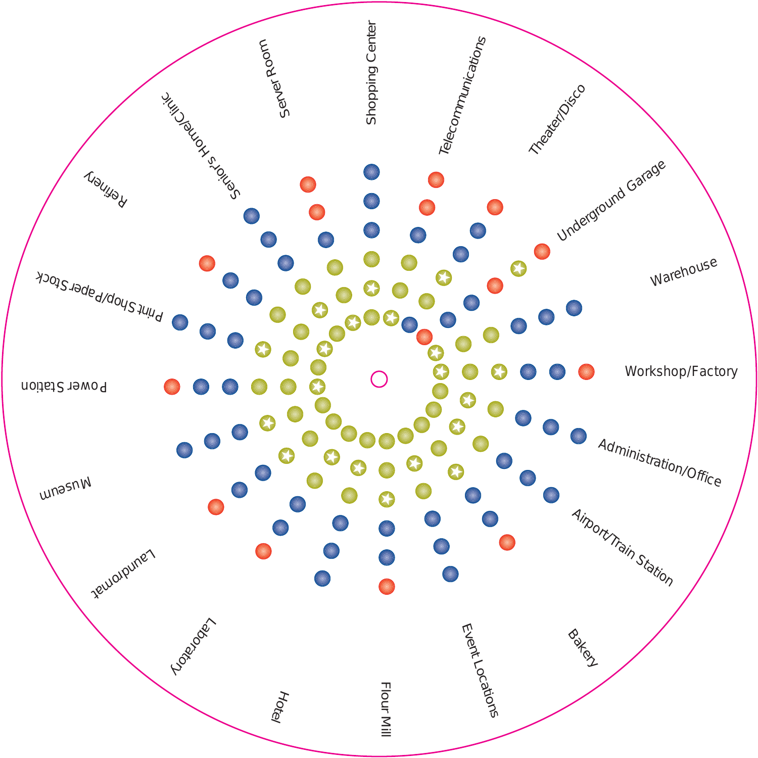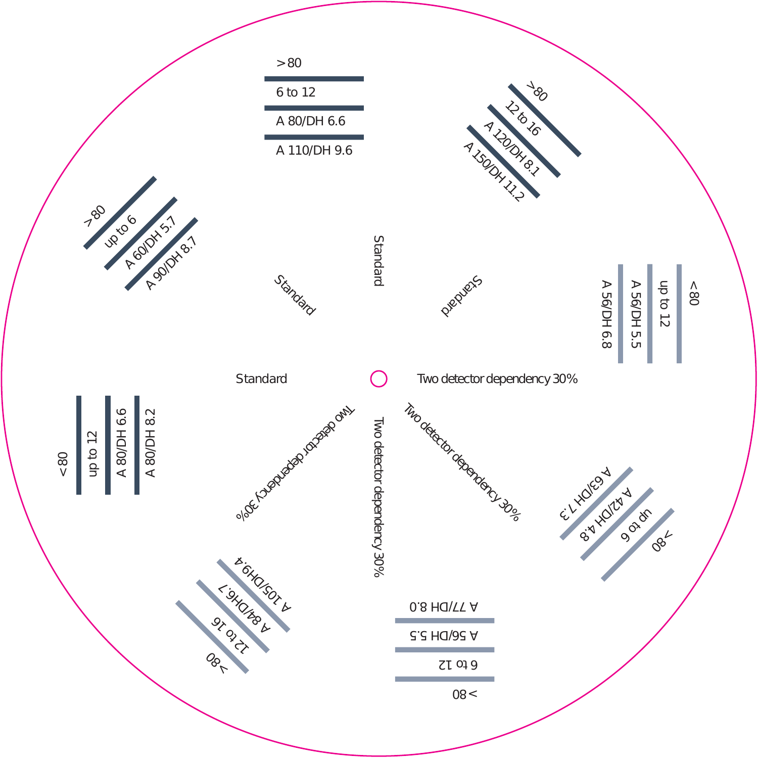